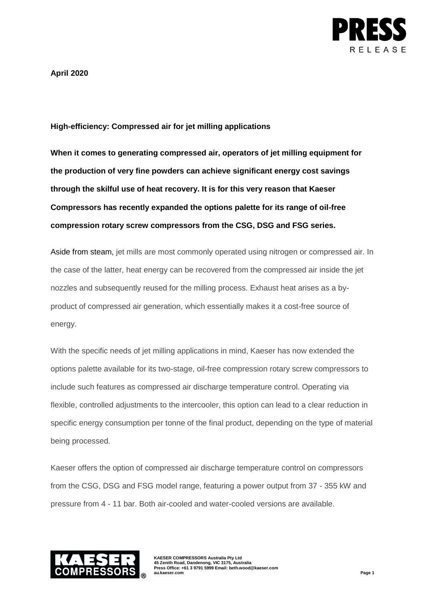

**April 2020**

# **High-efficiency: Compressed air for jet milling applications**

**When it comes to generating compressed air, operators of jet milling equipment for the production of very fine powders can achieve significant energy cost savings through the skilful use of heat recovery. It is for this very reason that Kaeser Compressors has recently expanded the options palette for its range of oil-free compression rotary screw compressors from the CSG, DSG and FSG series.** 

Aside from steam, jet mills are most commonly operated using nitrogen or compressed air. In the case of the latter, heat energy can be recovered from the compressed air inside the jet nozzles and subsequently reused for the milling process. Exhaust heat arises as a byproduct of compressed air generation, which essentially makes it a cost-free source of energy.

With the specific needs of jet milling applications in mind, Kaeser has now extended the options palette available for its two-stage, oil-free compression rotary screw compressors to include such features as compressed air discharge temperature control. Operating via flexible, controlled adjustments to the intercooler, this option can lead to a clear reduction in specific energy consumption per tonne of the final product, depending on the type of material being processed.

Kaeser offers the option of compressed air discharge temperature control on compressors from the CSG, DSG and FSG model range, featuring a power output from 37 - 355 kW and pressure from 4 - 11 bar. Both air-cooled and water-cooled versions are available.



**KAESER COMPRESSORS Australia Pty Ltd 45 Zenith Road, Dandenong, VIC 3175, Australia Press Office: +61 3 9791 5999 Email: beth.wood@kaeser.com au.kaeser.com Page 1**